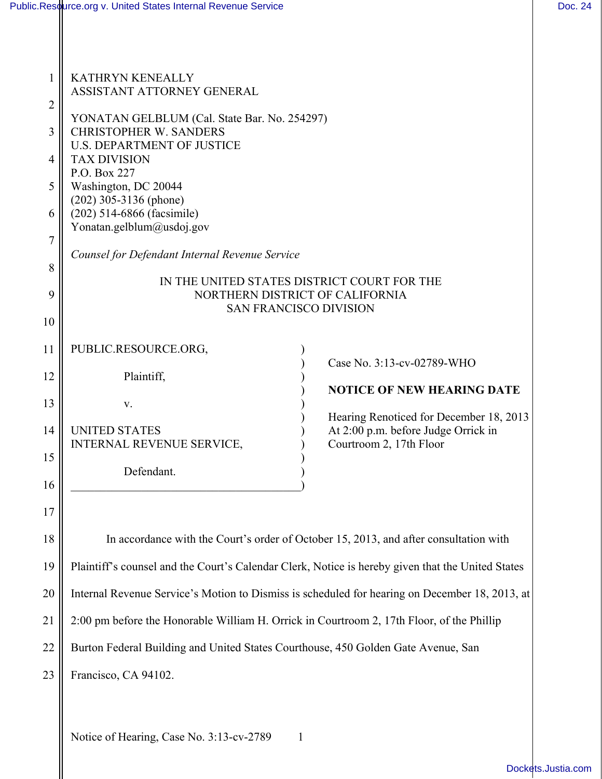| $\mathbf{1}$                               | <b>KATHRYN KENEALLY</b><br>ASSISTANT ATTORNEY GENERAL                                                                                                                                                                                                                                                                                                                                                                                         |
|--------------------------------------------|-----------------------------------------------------------------------------------------------------------------------------------------------------------------------------------------------------------------------------------------------------------------------------------------------------------------------------------------------------------------------------------------------------------------------------------------------|
| 2<br>3<br>4<br>5<br>6<br>7<br>8<br>9<br>10 | YONATAN GELBLUM (Cal. State Bar. No. 254297)<br><b>CHRISTOPHER W. SANDERS</b><br><b>U.S. DEPARTMENT OF JUSTICE</b><br><b>TAX DIVISION</b><br>P.O. Box 227<br>Washington, DC 20044<br>$(202)$ 305-3136 (phone)<br>(202) 514-6866 (facsimile)<br>Yonatan.gelblum@usdoj.gov<br>Counsel for Defendant Internal Revenue Service<br>IN THE UNITED STATES DISTRICT COURT FOR THE<br>NORTHERN DISTRICT OF CALIFORNIA<br><b>SAN FRANCISCO DIVISION</b> |
| 11<br>12<br>13<br>14<br>15<br>16           | PUBLIC.RESOURCE.ORG,<br>Case No. 3:13-cv-02789-WHO<br>Plaintiff,<br><b>NOTICE OF NEW HEARING DATE</b><br>V.<br>Hearing Renoticed for December 18, 2013<br>At 2:00 p.m. before Judge Orrick in<br><b>UNITED STATES</b><br>Courtroom 2, 17th Floor<br><b>INTERNAL REVENUE SERVICE,</b><br>Defendant.                                                                                                                                            |
| $17$<br>18                                 | In accordance with the Court's order of October 15, 2013, and after consultation with                                                                                                                                                                                                                                                                                                                                                         |
| 19                                         | Plaintiff's counsel and the Court's Calendar Clerk, Notice is hereby given that the United States                                                                                                                                                                                                                                                                                                                                             |
| 20                                         | Internal Revenue Service's Motion to Dismiss is scheduled for hearing on December 18, 2013, at                                                                                                                                                                                                                                                                                                                                                |
| 21                                         | 2:00 pm before the Honorable William H. Orrick in Courtroom 2, 17th Floor, of the Phillip                                                                                                                                                                                                                                                                                                                                                     |
| 22                                         | Burton Federal Building and United States Courthouse, 450 Golden Gate Avenue, San                                                                                                                                                                                                                                                                                                                                                             |
| 23                                         | Francisco, CA 94102.                                                                                                                                                                                                                                                                                                                                                                                                                          |

Notice of Hearing, Case No. 3:13-cv-2789 1